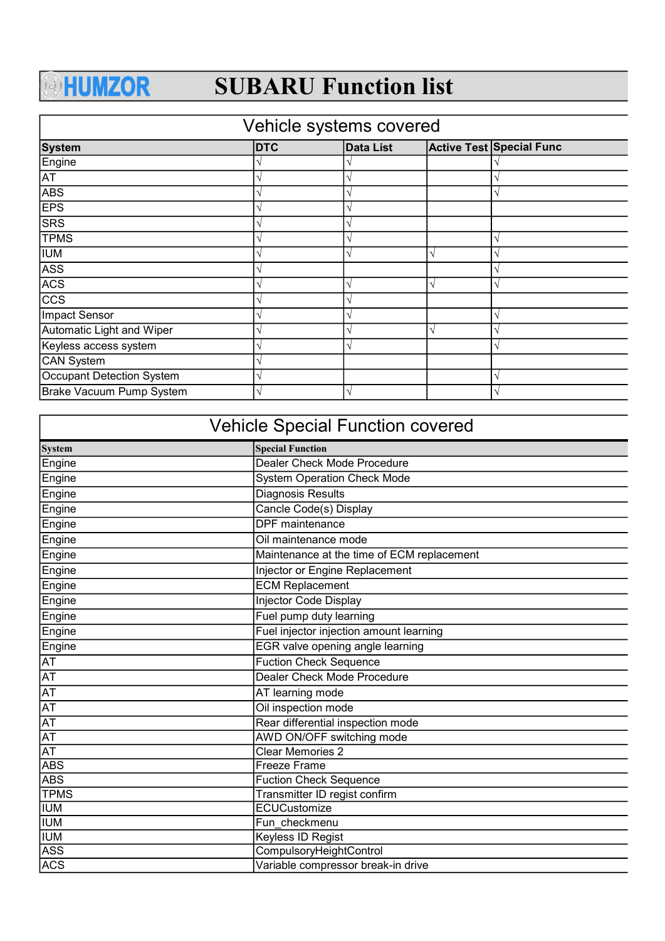## **AHUMZOR**

## SUBARU Function list

## System **DTC** Data List Active Test Special Func Engine √ √  $\overline{\mathsf{A}}$  $\overline{\wedge}$   $\overline{\vee}$   $\overline{\vee}$   $\overline{\vee}$   $\overline{\vee}$  $EPS$   $\sqrt{\sqrt{25}}$ SRS  $\sqrt{\sqrt{25}}$ TPMS  $\sqrt{ }$ IUM  $\sqrt{2}$  √  $\sqrt{2}$  √  $\sqrt{2}$  √  $\sqrt{2}$  √  $\sqrt{2}$  √  $\sqrt{2}$  √  $\sqrt{2}$  √  $\sqrt{2}$  √  $\sqrt{2}$  √  $\sqrt{2}$  √  $\sqrt{2}$  √  $\sqrt{2}$  √  $\sqrt{2}$  √  $\sqrt{2}$  √  $\sqrt{2}$  √  $\sqrt{2}$  √  $\sqrt{2}$  ∧  $\sqrt{2}$  √  $\sqrt{2}$  ∧  $\sqrt{2}$  ∧  $\sqrt{2}$  ∧  $\sqrt{2}$  $\overline{\text{ASS}}$   $\overline{\text{ASS}}$   $\overline{\text{ASS}}$ ACS  $\sqrt{\sqrt{25}}$  $\overline{\text{CCS}}$   $\sqrt{\text{V}}$ Impact Sensor √ √ Automatic Light and Wiper  $\sqrt{\sqrt{2}}$ Keyless access system  $\sqrt{2}$ CAN System √ Occupant Detection System √ Brake Vacuum Pump System √ √ Vehicle systems covered √ √ √ √ √ √ √ √ √ √ √ √

| <b>Vehicle Special Function covered</b> |                                            |  |
|-----------------------------------------|--------------------------------------------|--|
| <b>System</b>                           | <b>Special Function</b>                    |  |
| Engine                                  | Dealer Check Mode Procedure                |  |
| Engine                                  | <b>System Operation Check Mode</b>         |  |
| Engine                                  | <b>Diagnosis Results</b>                   |  |
| Engine                                  | Cancle Code(s) Display                     |  |
| Engine                                  | <b>DPF</b> maintenance                     |  |
| Engine                                  | Oil maintenance mode                       |  |
| Engine                                  | Maintenance at the time of ECM replacement |  |
| Engine                                  | Injector or Engine Replacement             |  |
| Engine                                  | <b>ECM Replacement</b>                     |  |
| <b>Engine</b>                           | <b>Injector Code Display</b>               |  |
| Engine                                  | Fuel pump duty learning                    |  |
| Engine                                  | Fuel injector injection amount learning    |  |
| Engine                                  | EGR valve opening angle learning           |  |
| <b>AT</b>                               | <b>Fuction Check Sequence</b>              |  |
| <b>AT</b>                               | Dealer Check Mode Procedure                |  |
| $\overline{AT}$                         | AT learning mode                           |  |
| <b>AT</b>                               | Oil inspection mode                        |  |
| $\overline{AT}$                         | Rear differential inspection mode          |  |
| $\overline{AT}$                         | AWD ON/OFF switching mode                  |  |
| $\overline{AT}$                         | <b>Clear Memories 2</b>                    |  |
| <b>ABS</b>                              | Freeze Frame                               |  |
| <b>ABS</b>                              | <b>Fuction Check Sequence</b>              |  |
| <b>TPMS</b>                             | Transmitter ID regist confirm              |  |
| <b>TUM</b>                              | ECUCustomize                               |  |
| <b>IUM</b>                              | Fun checkmenu                              |  |
| <b>TUM</b>                              | Keyless ID Regist                          |  |
| <b>ASS</b>                              | CompulsoryHeightControl                    |  |
| <b>ACS</b>                              | Variable compressor break-in drive         |  |
|                                         |                                            |  |